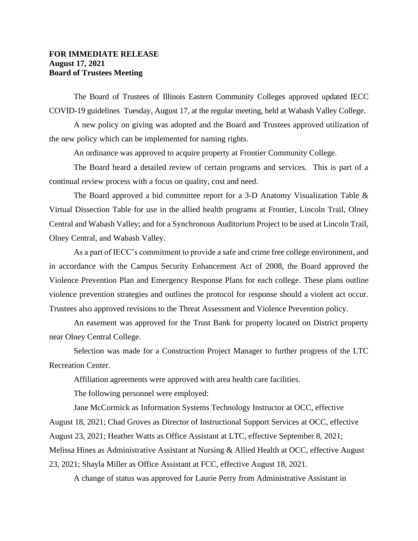## **FOR IMMEDIATE RELEASE August 17, 2021 Board of Trustees Meeting**

The Board of Trustees of Illinois Eastern Community Colleges approved updated IECC COVID-19 guidelines Tuesday, August 17, at the regular meeting, held at Wabash Valley College.

A new policy on giving was adopted and the Board and Trustees approved utilization of the new policy which can be implemented for naming rights.

An ordinance was approved to acquire property at Frontier Community College.

The Board heard a detailed review of certain programs and services. This is part of a continual review process with a focus on quality, cost and need.

The Board approved a bid committee report for a 3-D Anatomy Visualization Table & Virtual Dissection Table for use in the allied health programs at Frontier, Lincoln Trail, Olney Central and Wabash Valley; and for a Synchronous Auditorium Project to be used at Lincoln Trail, Olney Central, and Wabash Valley.

As a part of IECC's commitment to provide a safe and crime free college environment, and in accordance with the Campus Security Enhancement Act of 2008, the Board approved the Violence Prevention Plan and Emergency Response Plans for each college. These plans outline violence prevention strategies and outlines the protocol for response should a violent act occur. Trustees also approved revisions to the Threat Assessment and Violence Prevention policy.

An easement was approved for the Trust Bank for property located on District property near Olney Central College.

Selection was made for a Construction Project Manager to further progress of the LTC Recreation Center.

Affiliation agreements were approved with area health care facilities.

The following personnel were employed:

Jane McCormick as Information Systems Technology Instructor at OCC, effective August 18, 2021; Chad Groves as Director of Instructional Support Services at OCC, effective August 23, 2021; Heather Watts as Office Assistant at LTC, effective September 8, 2021; Melissa Hines as Administrative Assistant at Nursing & Allied Health at OCC, effective August 23, 2021; Shayla Miller as Office Assistant at FCC, effective August 18, 2021.

A change of status was approved for Laurie Perry from Administrative Assistant in